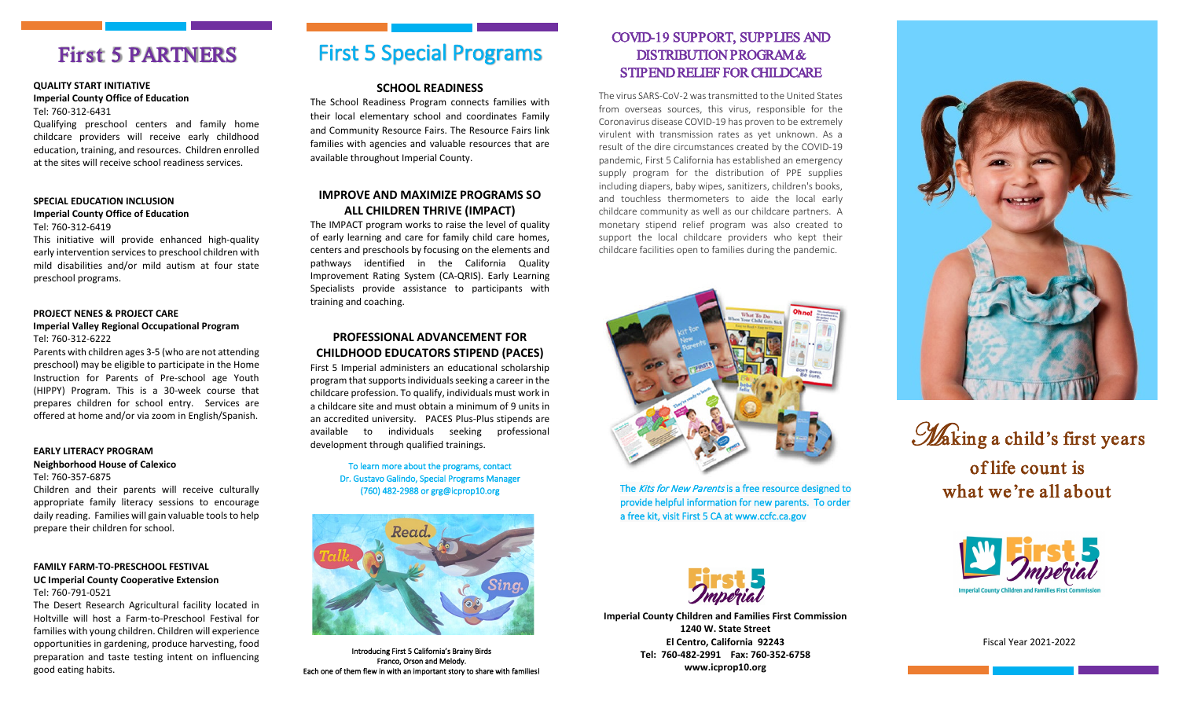## First 5 PARTNERS

#### **QUALITY START INITIATIVE Imperial County Office of Education**  Tel: 760-312-6431

Qualifying preschool centers and family home childcare providers will receive early childhood education, training, and resources. Children enrolled at the sites will receive school readiness services.

#### **SPECIAL EDUCATION INCLUSION Imperial County Office of Education**

#### Tel: 760-312-6419

This initiative will provide enhanced high-quality early intervention services to preschool children with mild disabilities and/or mild autism at four state preschool programs.

#### **PROJECT NENES & PROJECT CARE Imperial Valley Regional Occupational Program** Tel: 760-312-6222

Parents with children ages 3-5 (who are not attending preschool) may be eligible to participate in the Home Instruction for Parents of Pre-school age Youth (HIPPY) Program. This is a 30-week course that prepares children for school entry. Services are offered at home and/or via zoom in English/Spanish.

#### **EARLY LITERACY PROGRAM Neighborhood House of Calexico**

prepare their children for school.

Tel: 760-357-6875 Children and their parents will receive culturally appropriate family literacy sessions to encourage daily reading. Families will gain valuable tools to help

#### **FAMILY FARM-TO-PRESCHOOL FESTIVAL UC Imperial County Cooperative Extension** Tel: 760-791-0521

The Desert Research Agricultural facility located in Holtville will host a Farm-to-Preschool Festival for families with young children. Children will experience opportunities in gardening, produce harvesting, food preparation and taste testing intent on influencing good eating habits.

# First 5 Special Programs

#### **SCHOOL READINESS**

The School Readiness Program connects families with their local elementary school and coordinates Family and Community Resource Fairs. The Resource Fairs link families with agencies and valuable resources that are available throughout Imperial County.

#### **IMPROVE AND MAXIMIZE PROGRAMS SO ALL CHILDREN THRIVE (IMPACT)**

The IMPACT program works to raise the level of quality of early learning and care for family child care homes, centers and preschools by focusing on the elements and pathways identified in the California Quality Improvement Rating System (CA-QRIS). Early Learning Specialists provide assistance to participants with training and coaching.

### **PROFESSIONAL ADVANCEMENT FOR CHILDHOOD EDUCATORS STIPEND (PACES)**

First 5 Imperial administers an educational scholarship program that supportsindividuals seeking a career in the childcare profession. To qualify, individuals must work in a childcare site and must obtain a minimum of 9 units in an accredited university. PACES Plus-Plus stipends are available to individuals seeking professional development through qualified trainings.

> To learn more about the programs, contact Dr. Gustavo Galindo, Special Programs Manager (760) 482-2988 or grg@icprop10.org



Introducing First 5 California's Brainy Birds Franco, Orson and Melody. Each one of them flew in with an important story to share with families!

### COVID-19 SUPPORT, SUPPLIES AND DISTRIBUTION PROGRAM & STIPEND RELIEF FOR CHILDCARE

The virus SARS-CoV-2 was transmitted to the United States from overseas sources, this virus, responsible for the Coronavirus disease COVID-19 has proven to be extremely virulent with transmission rates as yet unknown. As a result of the dire circumstances created by the COVID-19 pandemic, First 5 California has established an emergency supply program for the distribution of PPE supplies including diapers, baby wipes, sanitizers, children's books, and touchless thermometers to aide the local early childcare community as well as our childcare partners. A monetary stipend relief program was also created to support the local childcare providers who kept their childcare facilities open to families during the pandemic.



The Kits for New Parents is a free resource designed to provide helpful information for new parents. To order a free kit, visit First 5 CA at www.ccfc.ca.gov



**Imperial County Children and Families First Commission 1240 W. State Street El Centro, California 92243 Tel: 760-482-2991 Fax: 760-352-6758 www.icprop10.org**



Waking a child's first years of life count is what we're all about



Fiscal Year 2021-2022